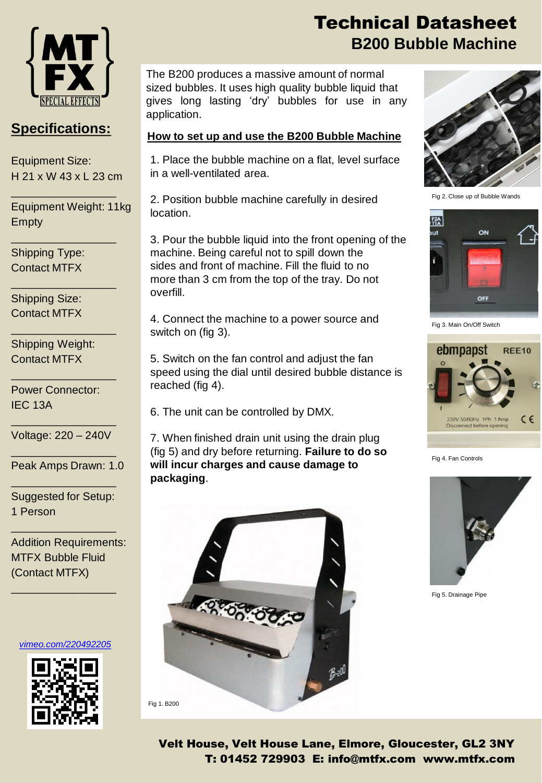

### **Specifications:**

Equipment Size: H 21 x W 43 x L 23 cm

\_\_\_\_\_\_\_\_\_\_\_\_\_\_\_\_\_

\_\_\_\_\_\_\_\_\_\_\_\_\_\_\_\_\_

\_\_\_\_\_\_\_\_\_\_\_\_\_\_\_\_\_

\_\_\_\_\_\_\_\_\_\_\_\_\_\_\_\_\_

\_\_\_\_\_\_\_\_\_\_\_\_\_\_\_\_\_

Equipment Weight: 11kg Empty

Shipping Type: Contact MTFX

Shipping Size: Contact MTFX

Shipping Weight: Contact MTFX

Power Connector: IEC 13A

\_\_\_\_\_\_\_\_\_\_\_\_\_\_\_\_\_ Voltage: 220 – 240V \_\_\_\_\_\_\_\_\_\_\_\_\_\_\_\_\_

Peak Amps Drawn: 1.0 \_\_\_\_\_\_\_\_\_\_\_\_\_\_\_\_\_

Suggested for Setup: 1 Person

\_\_\_\_\_\_\_\_\_\_\_\_\_\_\_\_\_

Addition Requirements: MTFX Bubble Fluid (Contact MTFX)

*[vimeo.com/220492205](https://vimeo.com/220492205)*

\_\_\_\_\_\_\_\_\_\_\_\_\_\_\_\_\_



## Technical Datasheet **B200 Bubble Machine**

The B200 produces a massive amount of normal sized bubbles. It uses high quality bubble liquid that gives long lasting 'dry' bubbles for use in any application.

#### **How to set up and use the B200 Bubble Machine**

1. Place the bubble machine on a flat, level surface in a well-ventilated area.

2. Position bubble machine carefully in desired location.

3. Pour the bubble liquid into the front opening of the machine. Being careful not to spill down the sides and front of machine. Fill the fluid to no more than 3 cm from the top of the tray. Do not overfill.

4. Connect the machine to a power source and switch on (fig 3).

5. Switch on the fan control and adjust the fan speed using the dial until desired bubble distance is reached (fig 4).

6. The unit can be controlled by DMX.

7. When finished drain unit using the drain plug (fig 5) and dry before returning. **Failure to do so will incur charges and cause damage to packaging**.





Fig 2. Close up of Bubble Wands



Fig 3. Main On/Off Switch



Fig 4. Fan Controls



Fig 5. Drainage Pipe

Velt House, Velt House Lane, Elmore, Gloucester, GL2 3NY T: 01452 729903 E: info@mtfx.com www.mtfx.com